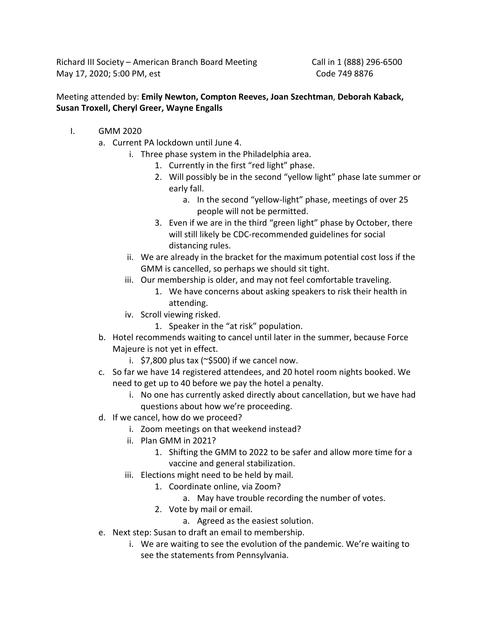Richard III Society – American Branch Board Meeting Call in 1 (888) 296-6500 May 17, 2020; 5:00 PM, est Code 749 8876

## Meeting attended by: **Emily Newton, Compton Reeves, Joan Szechtman**, **Deborah Kaback, Susan Troxell, Cheryl Greer, Wayne Engalls**

- I. GMM 2020
	- a. Current PA lockdown until June 4.
		- i. Three phase system in the Philadelphia area.
			- 1. Currently in the first "red light" phase.
			- 2. Will possibly be in the second "yellow light" phase late summer or early fall.
				- a. In the second "yellow-light" phase, meetings of over 25 people will not be permitted.
			- 3. Even if we are in the third "green light" phase by October, there will still likely be CDC-recommended guidelines for social distancing rules.
		- ii. We are already in the bracket for the maximum potential cost loss if the GMM is cancelled, so perhaps we should sit tight.
		- iii. Our membership is older, and may not feel comfortable traveling.
			- 1. We have concerns about asking speakers to risk their health in attending.
		- iv. Scroll viewing risked.
			- 1. Speaker in the "at risk" population.
	- b. Hotel recommends waiting to cancel until later in the summer, because Force Majeure is not yet in effect.
		- i.  $$7,800$  plus tax ( $\sim$ \$500) if we cancel now.
	- c. So far we have 14 registered attendees, and 20 hotel room nights booked. We need to get up to 40 before we pay the hotel a penalty.
		- i. No one has currently asked directly about cancellation, but we have had questions about how we're proceeding.
	- d. If we cancel, how do we proceed?
		- i. Zoom meetings on that weekend instead?
		- ii. Plan GMM in 2021?
			- 1. Shifting the GMM to 2022 to be safer and allow more time for a vaccine and general stabilization.
		- iii. Elections might need to be held by mail.
			- 1. Coordinate online, via Zoom?
				- a. May have trouble recording the number of votes.
			- 2. Vote by mail or email.
				- a. Agreed as the easiest solution.
	- e. Next step: Susan to draft an email to membership.
		- i. We are waiting to see the evolution of the pandemic. We're waiting to see the statements from Pennsylvania.